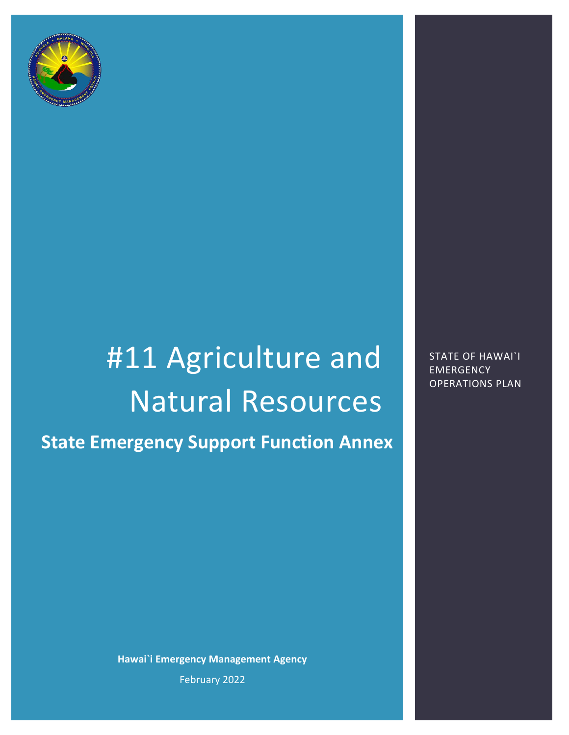

# #11 Agriculture and Natural Resources **State Emergency Support Function Annex**

**Hawai`i Emergency Management Agency** February 2022

STATE OF HAWAI`I EMERGENCY OPERATIONS PLAN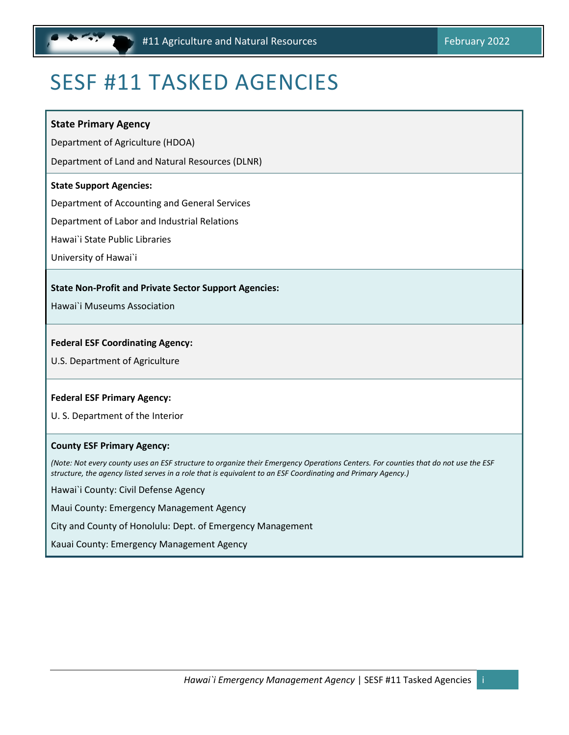## <span id="page-1-0"></span>SESF #11 TASKED AGENCIES

#### **State Primary Agency**

Department of Agriculture (HDOA)

Department of Land and Natural Resources (DLNR)

#### **State Support Agencies:**

Department of Accounting and General Services

Department of Labor and Industrial Relations

Hawai`i State Public Libraries

University of Hawai`i

#### **State Non-Profit and Private Sector Support Agencies:**

Hawai`i Museums Association

#### **Federal ESF Coordinating Agency:**

U.S. Department of Agriculture

#### **Federal ESF Primary Agency:**

U. S. Department of the Interior

#### **County ESF Primary Agency:**

*(Note: Not every county uses an ESF structure to organize their Emergency Operations Centers. For counties that do not use the ESF structure, the agency listed serves in a role that is equivalent to an ESF Coordinating and Primary Agency.)* 

Hawai`i County: Civil Defense Agency

Maui County: Emergency Management Agency

City and County of Honolulu: Dept. of Emergency Management

Kauai County: Emergency Management Agency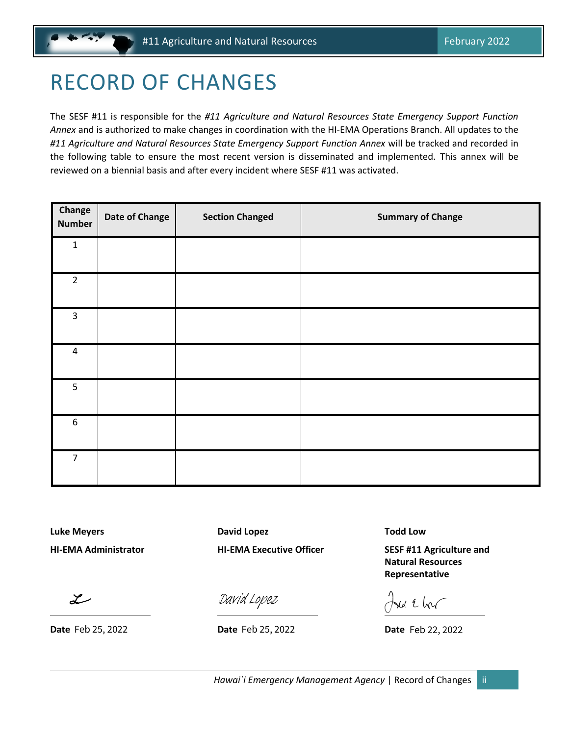## <span id="page-2-0"></span>RECORD OF CHANGES

The SESF #11 is responsible for the *#11 Agriculture and Natural Resources State Emergency Support Function Annex* and is authorized to make changes in coordination with the HI-EMA Operations Branch. All updates to the *#11 Agriculture and Natural Resources State Emergency Support Function Annex* will be tracked and recorded in the following table to ensure the most recent version is disseminated and implemented. This annex will be reviewed on a biennial basis and after every incident where SESF #11 was activated.

| Change<br><b>Number</b> | <b>Date of Change</b> | <b>Section Changed</b> | <b>Summary of Change</b> |
|-------------------------|-----------------------|------------------------|--------------------------|
| $\mathbf 1$             |                       |                        |                          |
| $\overline{2}$          |                       |                        |                          |
| $\mathsf{3}$            |                       |                        |                          |
| $\pmb{4}$               |                       |                        |                          |
| 5                       |                       |                        |                          |
| $\boldsymbol{6}$        |                       |                        |                          |
| $\overline{7}$          |                       |                        |                          |

**Luke Meyers David Lopez Todd Low**

**HI-EMA Administrator HI-EMA Executive Officer SESF #11 Agriculture and Natural Resources Representative**

 $\frac{\partial \text{axial} \text{Lopez}}{\partial \text{Lape E}}$   $\frac{\partial \text{axial}}{\partial \text{Lape E}}$  Date Feb 22, 2022

 $\mathcal{Z}$ 

**Date** Feb 25, 2022 **Date Date Date Date Date**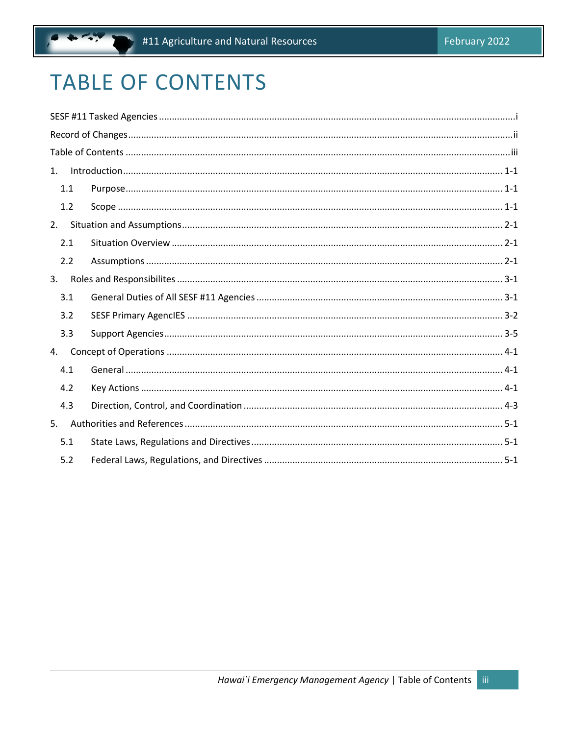## <span id="page-3-0"></span>**TABLE OF CONTENTS**

| 1. |     | $Introduction 1-1-1$ |  |
|----|-----|----------------------|--|
|    | 1.1 |                      |  |
|    | 1.2 |                      |  |
|    | 2.  |                      |  |
|    | 2.1 |                      |  |
|    | 2.2 |                      |  |
| 3. |     |                      |  |
|    | 3.1 |                      |  |
|    | 3.2 |                      |  |
|    | 3.3 |                      |  |
| 4. |     |                      |  |
|    | 4.1 |                      |  |
|    | 4.2 |                      |  |
|    | 4.3 |                      |  |
| 5. |     |                      |  |
|    | 5.1 |                      |  |
|    | 5.2 |                      |  |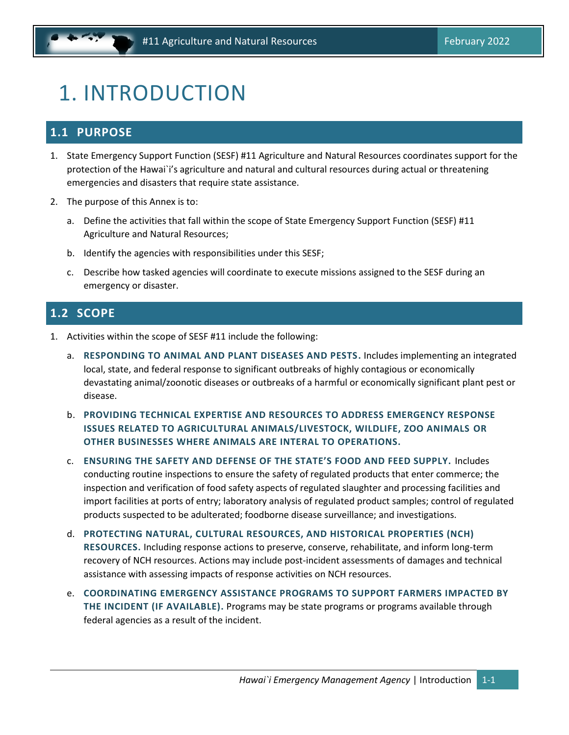## <span id="page-4-0"></span>1. INTRODUCTION

## <span id="page-4-1"></span>**1.1 PURPOSE**

- 1. State Emergency Support Function (SESF) #11 Agriculture and Natural Resources coordinates support for the protection of the Hawai`i's agriculture and natural and cultural resources during actual or threatening emergencies and disasters that require state assistance.
- 2. The purpose of this Annex is to:
	- a. Define the activities that fall within the scope of State Emergency Support Function (SESF) #11 Agriculture and Natural Resources;
	- b. Identify the agencies with responsibilities under this SESF;
	- c. Describe how tasked agencies will coordinate to execute missions assigned to the SESF during an emergency or disaster.

### <span id="page-4-2"></span>**1.2 SCOPE**

- 1. Activities within the scope of SESF #11 include the following:
	- a. **RESPONDING TO ANIMAL AND PLANT DISEASES AND PESTS.** Includes implementing an integrated local, state, and federal response to significant outbreaks of highly contagious or economically devastating animal/zoonotic diseases or outbreaks of a harmful or economically significant plant pest or disease.
	- b. **PROVIDING TECHNICAL EXPERTISE AND RESOURCES TO ADDRESS EMERGENCY RESPONSE ISSUES RELATED TO AGRICULTURAL ANIMALS/LIVESTOCK, WILDLIFE, ZOO ANIMALS OR OTHER BUSINESSES WHERE ANIMALS ARE INTERAL TO OPERATIONS.**
	- c. **ENSURING THE SAFETY AND DEFENSE OF THE STATE'S FOOD AND FEED SUPPLY.** Includes conducting routine inspections to ensure the safety of regulated products that enter commerce; the inspection and verification of food safety aspects of regulated slaughter and processing facilities and import facilities at ports of entry; laboratory analysis of regulated product samples; control of regulated products suspected to be adulterated; foodborne disease surveillance; and investigations.
	- d. **PROTECTING NATURAL, CULTURAL RESOURCES, AND HISTORICAL PROPERTIES (NCH) RESOURCES.** Including response actions to preserve, conserve, rehabilitate, and inform long-term recovery of NCH resources. Actions may include post-incident assessments of damages and technical assistance with assessing impacts of response activities on NCH resources.
	- e. **COORDINATING EMERGENCY ASSISTANCE PROGRAMS TO SUPPORT FARMERS IMPACTED BY THE INCIDENT (IF AVAILABLE).** Programs may be state programs or programs available through federal agencies as a result of the incident.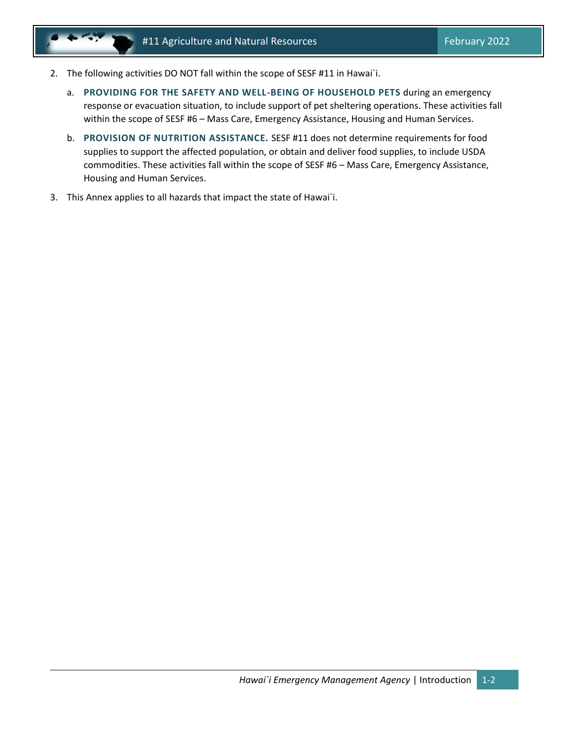- 2. The following activities DO NOT fall within the scope of SESF #11 in Hawai`i.
	- a. **PROVIDING FOR THE SAFETY AND WELL-BEING OF HOUSEHOLD PETS** during an emergency response or evacuation situation, to include support of pet sheltering operations. These activities fall within the scope of SESF #6 – Mass Care, Emergency Assistance, Housing and Human Services.
	- b. **PROVISION OF NUTRITION ASSISTANCE.** SESF #11 does not determine requirements for food supplies to support the affected population, or obtain and deliver food supplies, to include USDA commodities. These activities fall within the scope of SESF #6 – Mass Care, Emergency Assistance, Housing and Human Services.
- 3. This Annex applies to all hazards that impact the state of Hawai`i.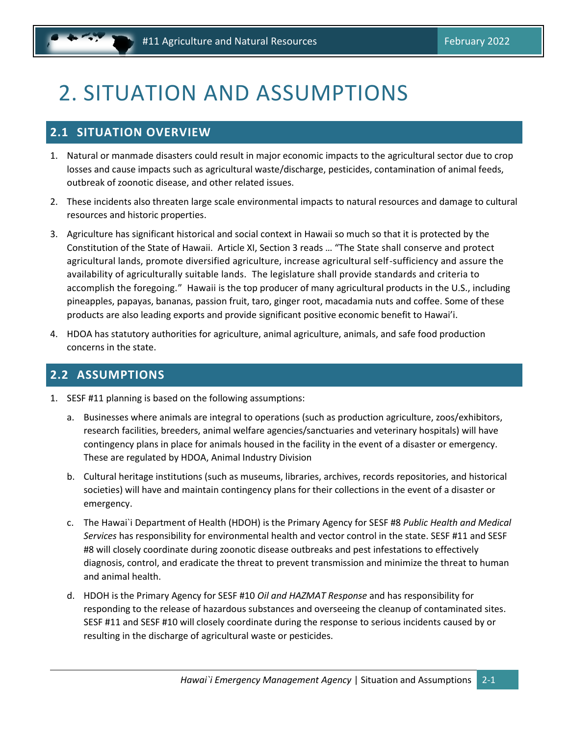## <span id="page-6-0"></span>2. SITUATION AND ASSUMPTIONS

### <span id="page-6-1"></span>**2.1 SITUATION OVERVIEW**

- 1. Natural or manmade disasters could result in major economic impacts to the agricultural sector due to crop losses and cause impacts such as agricultural waste/discharge, pesticides, contamination of animal feeds, outbreak of zoonotic disease, and other related issues.
- 2. These incidents also threaten large scale environmental impacts to natural resources and damage to cultural resources and historic properties.
- 3. Agriculture has significant historical and social context in Hawaii so much so that it is protected by the Constitution of the State of Hawaii. Article XI, Section 3 reads … "The State shall conserve and protect agricultural lands, promote diversified agriculture, increase agricultural self-sufficiency and assure the availability of agriculturally suitable lands. The legislature shall provide standards and criteria to accomplish the foregoing." Hawaii is the top producer of many agricultural products in the U.S., including pineapples, papayas, bananas, passion fruit, taro, ginger root, macadamia nuts and coffee. Some of these products are also leading exports and provide significant positive economic benefit to Hawai'i.
- 4. HDOA has statutory authorities for agriculture, animal agriculture, animals, and safe food production concerns in the state.

### <span id="page-6-2"></span>**2.2 ASSUMPTIONS**

- 1. SESF #11 planning is based on the following assumptions:
	- a. Businesses where animals are integral to operations (such as production agriculture, zoos/exhibitors, research facilities, breeders, animal welfare agencies/sanctuaries and veterinary hospitals) will have contingency plans in place for animals housed in the facility in the event of a disaster or emergency. These are regulated by HDOA, Animal Industry Division
	- b. Cultural heritage institutions (such as museums, libraries, archives, records repositories, and historical societies) will have and maintain contingency plans for their collections in the event of a disaster or emergency.
	- c. The Hawai`i Department of Health (HDOH) is the Primary Agency for SESF #8 *Public Health and Medical Services* has responsibility for environmental health and vector control in the state. SESF #11 and SESF #8 will closely coordinate during zoonotic disease outbreaks and pest infestations to effectively diagnosis, control, and eradicate the threat to prevent transmission and minimize the threat to human and animal health.
	- d. HDOH is the Primary Agency for SESF #10 *Oil and HAZMAT Response* and has responsibility for responding to the release of hazardous substances and overseeing the cleanup of contaminated sites. SESF #11 and SESF #10 will closely coordinate during the response to serious incidents caused by or resulting in the discharge of agricultural waste or pesticides.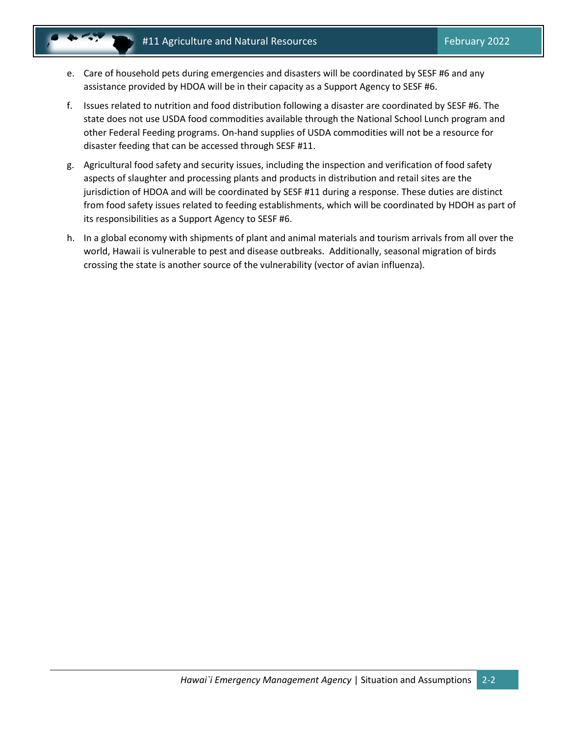- e. Care of household pets during emergencies and disasters will be coordinated by SESF #6 and any assistance provided by HDOA will be in their capacity as a Support Agency to SESF #6.
- f. Issues related to nutrition and food distribution following a disaster are coordinated by SESF #6. The state does not use USDA food commodities available through the National School Lunch program and other Federal Feeding programs. On-hand supplies of USDA commodities will not be a resource for disaster feeding that can be accessed through SESF #11.
- g. Agricultural food safety and security issues, including the inspection and verification of food safety aspects of slaughter and processing plants and products in distribution and retail sites are the jurisdiction of HDOA and will be coordinated by SESF #11 during a response. These duties are distinct from food safety issues related to feeding establishments, which will be coordinated by HDOH as part of its responsibilities as a Support Agency to SESF #6.
- h. In a global economy with shipments of plant and animal materials and tourism arrivals from all over the world, Hawaii is vulnerable to pest and disease outbreaks. Additionally, seasonal migration of birds crossing the state is another source of the vulnerability (vector of avian influenza).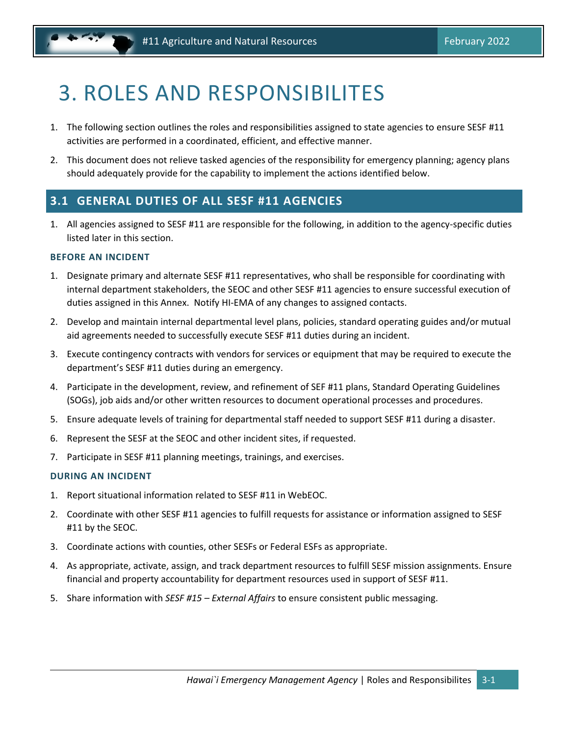## <span id="page-8-0"></span>3. ROLES AND RESPONSIBILITES

- 1. The following section outlines the roles and responsibilities assigned to state agencies to ensure SESF #11 activities are performed in a coordinated, efficient, and effective manner.
- 2. This document does not relieve tasked agencies of the responsibility for emergency planning; agency plans should adequately provide for the capability to implement the actions identified below.

## <span id="page-8-1"></span>**3.1 GENERAL DUTIES OF ALL SESF #11 AGENCIES**

1. All agencies assigned to SESF #11 are responsible for the following, in addition to the agency-specific duties listed later in this section.

#### **BEFORE AN INCIDENT**

- 1. Designate primary and alternate SESF #11 representatives, who shall be responsible for coordinating with internal department stakeholders, the SEOC and other SESF #11 agencies to ensure successful execution of duties assigned in this Annex. Notify HI-EMA of any changes to assigned contacts.
- 2. Develop and maintain internal departmental level plans, policies, standard operating guides and/or mutual aid agreements needed to successfully execute SESF #11 duties during an incident.
- 3. Execute contingency contracts with vendors for services or equipment that may be required to execute the department's SESF #11 duties during an emergency.
- 4. Participate in the development, review, and refinement of SEF #11 plans, Standard Operating Guidelines (SOGs), job aids and/or other written resources to document operational processes and procedures.
- 5. Ensure adequate levels of training for departmental staff needed to support SESF #11 during a disaster.
- 6. Represent the SESF at the SEOC and other incident sites, if requested.
- 7. Participate in SESF #11 planning meetings, trainings, and exercises.

#### **DURING AN INCIDENT**

- 1. Report situational information related to SESF #11 in WebEOC.
- 2. Coordinate with other SESF #11 agencies to fulfill requests for assistance or information assigned to SESF #11 by the SEOC.
- 3. Coordinate actions with counties, other SESFs or Federal ESFs as appropriate.
- 4. As appropriate, activate, assign, and track department resources to fulfill SESF mission assignments. Ensure financial and property accountability for department resources used in support of SESF #11.
- 5. Share information with *SESF #15 – External Affairs* to ensure consistent public messaging.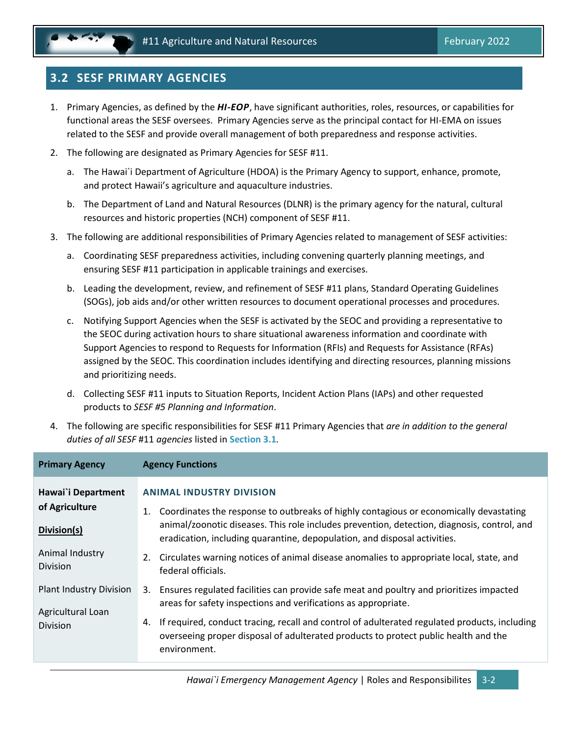## <span id="page-9-0"></span>**3.2 SESF PRIMARY AGENCIES**

- 1. Primary Agencies, as defined by the *HI-EOP*, have significant authorities, roles, resources, or capabilities for functional areas the SESF oversees. Primary Agencies serve as the principal contact for HI-EMA on issues related to the SESF and provide overall management of both preparedness and response activities.
- 2. The following are designated as Primary Agencies for SESF #11.
	- a. The Hawai`i Department of Agriculture (HDOA) is the Primary Agency to support, enhance, promote, and protect Hawaii's agriculture and aquaculture industries.
	- b. The Department of Land and Natural Resources (DLNR) is the primary agency for the natural, cultural resources and historic properties (NCH) component of SESF #11.
- 3. The following are additional responsibilities of Primary Agencies related to management of SESF activities:
	- a. Coordinating SESF preparedness activities, including convening quarterly planning meetings, and ensuring SESF #11 participation in applicable trainings and exercises.
	- b. Leading the development, review, and refinement of SESF #11 plans, Standard Operating Guidelines (SOGs), job aids and/or other written resources to document operational processes and procedures.
	- c. Notifying Support Agencies when the SESF is activated by the SEOC and providing a representative to the SEOC during activation hours to share situational awareness information and coordinate with Support Agencies to respond to Requests for Information (RFIs) and Requests for Assistance (RFAs) assigned by the SEOC. This coordination includes identifying and directing resources, planning missions and prioritizing needs.
	- d. Collecting SESF #11 inputs to Situation Reports, Incident Action Plans (IAPs) and other requested products to *SESF #5 Planning and Information*.
- 4. The following are specific responsibilities for SESF #11 Primary Agencies that *are in addition to the general duties of all SESF* #11 *agencies* listed in **Section [3.1](#page-8-1)***.*

| <b>Primary Agency</b>                                                              | <b>Agency Functions</b>                                                                                                                                                                                                                                                                                                                                                                                                      |
|------------------------------------------------------------------------------------|------------------------------------------------------------------------------------------------------------------------------------------------------------------------------------------------------------------------------------------------------------------------------------------------------------------------------------------------------------------------------------------------------------------------------|
| Hawai`i Department<br>of Agriculture<br>Division(s)<br>Animal Industry<br>Division | <b>ANIMAL INDUSTRY DIVISION</b><br>Coordinates the response to outbreaks of highly contagious or economically devastating<br>animal/zoonotic diseases. This role includes prevention, detection, diagnosis, control, and<br>eradication, including quarantine, depopulation, and disposal activities.<br>Circulates warning notices of animal disease anomalies to appropriate local, state, and<br>2.<br>federal officials. |
| <b>Plant Industry Division</b><br>Agricultural Loan<br>Division                    | Ensures regulated facilities can provide safe meat and poultry and prioritizes impacted<br>3.<br>areas for safety inspections and verifications as appropriate.<br>If required, conduct tracing, recall and control of adulterated regulated products, including<br>4.<br>overseeing proper disposal of adulterated products to protect public health and the<br>environment.                                                |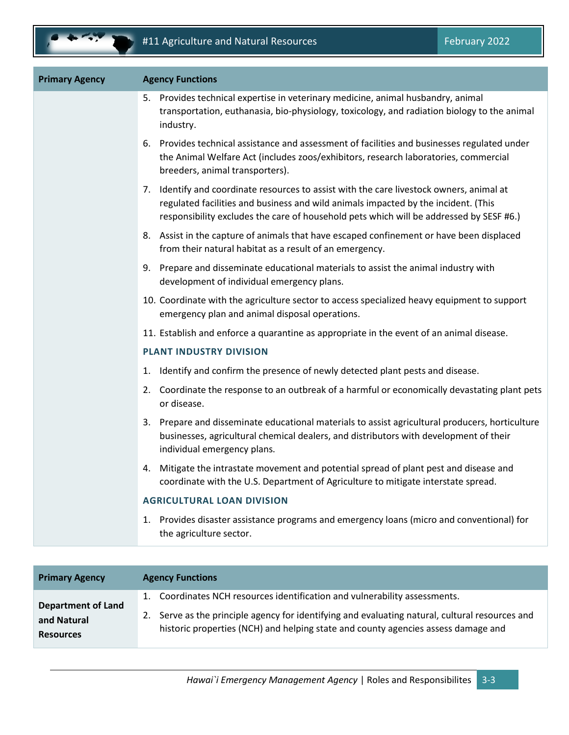| <b>Primary Agency</b> | <b>Agency Functions</b>                                                                                                                                                                                                                                                   |
|-----------------------|---------------------------------------------------------------------------------------------------------------------------------------------------------------------------------------------------------------------------------------------------------------------------|
|                       | 5. Provides technical expertise in veterinary medicine, animal husbandry, animal<br>transportation, euthanasia, bio-physiology, toxicology, and radiation biology to the animal<br>industry.                                                                              |
|                       | Provides technical assistance and assessment of facilities and businesses regulated under<br>6.<br>the Animal Welfare Act (includes zoos/exhibitors, research laboratories, commercial<br>breeders, animal transporters).                                                 |
|                       | 7. Identify and coordinate resources to assist with the care livestock owners, animal at<br>regulated facilities and business and wild animals impacted by the incident. (This<br>responsibility excludes the care of household pets which will be addressed by SESF #6.) |
|                       | 8. Assist in the capture of animals that have escaped confinement or have been displaced<br>from their natural habitat as a result of an emergency.                                                                                                                       |
|                       | 9. Prepare and disseminate educational materials to assist the animal industry with<br>development of individual emergency plans.                                                                                                                                         |
|                       | 10. Coordinate with the agriculture sector to access specialized heavy equipment to support<br>emergency plan and animal disposal operations.                                                                                                                             |
|                       | 11. Establish and enforce a quarantine as appropriate in the event of an animal disease.                                                                                                                                                                                  |
|                       | <b>PLANT INDUSTRY DIVISION</b>                                                                                                                                                                                                                                            |
|                       | Identify and confirm the presence of newly detected plant pests and disease.<br>1.                                                                                                                                                                                        |
|                       | 2. Coordinate the response to an outbreak of a harmful or economically devastating plant pets<br>or disease.                                                                                                                                                              |
|                       | 3. Prepare and disseminate educational materials to assist agricultural producers, horticulture<br>businesses, agricultural chemical dealers, and distributors with development of their<br>individual emergency plans.                                                   |
|                       | Mitigate the intrastate movement and potential spread of plant pest and disease and<br>4.<br>coordinate with the U.S. Department of Agriculture to mitigate interstate spread.                                                                                            |
|                       | <b>AGRICULTURAL LOAN DIVISION</b>                                                                                                                                                                                                                                         |
|                       | Provides disaster assistance programs and emergency loans (micro and conventional) for<br>1.<br>the agriculture sector.                                                                                                                                                   |

| <b>Primary Agency</b>                                        | <b>Agency Functions</b>                                                                                                                                                                                                                                            |
|--------------------------------------------------------------|--------------------------------------------------------------------------------------------------------------------------------------------------------------------------------------------------------------------------------------------------------------------|
| <b>Department of Land</b><br>and Natural<br><b>Resources</b> | Coordinates NCH resources identification and vulnerability assessments.<br>Serve as the principle agency for identifying and evaluating natural, cultural resources and<br>2.<br>historic properties (NCH) and helping state and county agencies assess damage and |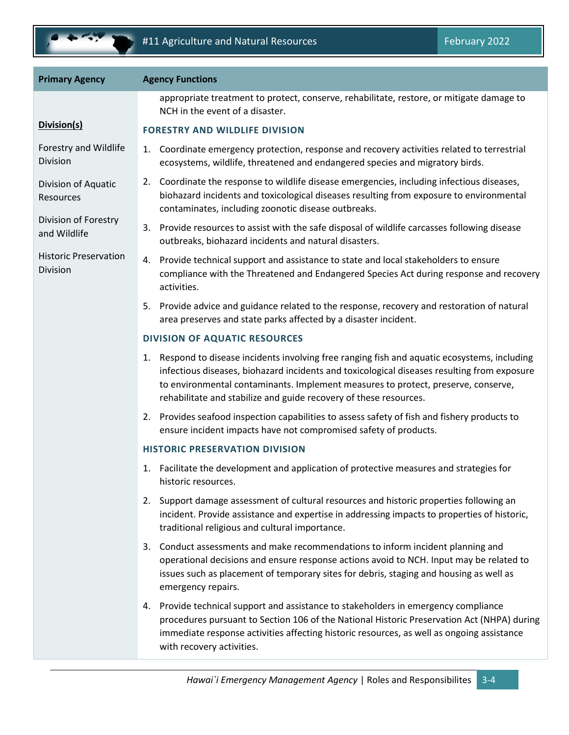

| appropriate treatment to protect, conserve, rehabilitate, restore, or mitigate damage to<br>NCH in the event of a disaster.<br>Division(s)<br><b>FORESTRY AND WILDLIFE DIVISION</b><br>Forestry and Wildlife<br>1. Coordinate emergency protection, response and recovery activities related to terrestrial<br><b>Division</b><br>ecosystems, wildlife, threatened and endangered species and migratory birds.<br>2. Coordinate the response to wildlife disease emergencies, including infectious diseases,<br>Division of Aquatic<br>biohazard incidents and toxicological diseases resulting from exposure to environmental<br>Resources<br>contaminates, including zoonotic disease outbreaks.<br>Division of Forestry<br>3. Provide resources to assist with the safe disposal of wildlife carcasses following disease<br>and Wildlife<br>outbreaks, biohazard incidents and natural disasters.<br><b>Historic Preservation</b><br>Provide technical support and assistance to state and local stakeholders to ensure<br>4.<br><b>Division</b><br>compliance with the Threatened and Endangered Species Act during response and recovery<br>activities.<br>5. Provide advice and guidance related to the response, recovery and restoration of natural<br>area preserves and state parks affected by a disaster incident.<br><b>DIVISION OF AQUATIC RESOURCES</b><br>Respond to disease incidents involving free ranging fish and aquatic ecosystems, including<br>1.<br>infectious diseases, biohazard incidents and toxicological diseases resulting from exposure<br>to environmental contaminants. Implement measures to protect, preserve, conserve,<br>rehabilitate and stabilize and guide recovery of these resources.<br>2. Provides seafood inspection capabilities to assess safety of fish and fishery products to<br>ensure incident impacts have not compromised safety of products.<br><b>HISTORIC PRESERVATION DIVISION</b><br>Facilitate the development and application of protective measures and strategies for<br>1.<br>historic resources.<br>2. Support damage assessment of cultural resources and historic properties following an<br>incident. Provide assistance and expertise in addressing impacts to properties of historic,<br>traditional religious and cultural importance.<br>Conduct assessments and make recommendations to inform incident planning and<br>3.<br>operational decisions and ensure response actions avoid to NCH. Input may be related to<br>issues such as placement of temporary sites for debris, staging and housing as well as<br>emergency repairs.<br>Provide technical support and assistance to stakeholders in emergency compliance<br>4.<br>procedures pursuant to Section 106 of the National Historic Preservation Act (NHPA) during<br>immediate response activities affecting historic resources, as well as ongoing assistance<br>with recovery activities. | <b>Primary Agency</b> | <b>Agency Functions</b> |
|--------------------------------------------------------------------------------------------------------------------------------------------------------------------------------------------------------------------------------------------------------------------------------------------------------------------------------------------------------------------------------------------------------------------------------------------------------------------------------------------------------------------------------------------------------------------------------------------------------------------------------------------------------------------------------------------------------------------------------------------------------------------------------------------------------------------------------------------------------------------------------------------------------------------------------------------------------------------------------------------------------------------------------------------------------------------------------------------------------------------------------------------------------------------------------------------------------------------------------------------------------------------------------------------------------------------------------------------------------------------------------------------------------------------------------------------------------------------------------------------------------------------------------------------------------------------------------------------------------------------------------------------------------------------------------------------------------------------------------------------------------------------------------------------------------------------------------------------------------------------------------------------------------------------------------------------------------------------------------------------------------------------------------------------------------------------------------------------------------------------------------------------------------------------------------------------------------------------------------------------------------------------------------------------------------------------------------------------------------------------------------------------------------------------------------------------------------------------------------------------------------------------------------------------------------------------------------------------------------------------------------------------------------------------------------------------------------------------------------------------------------------------------------------------------------------------------------------------------------------------------------------------------------------------------------------|-----------------------|-------------------------|
|                                                                                                                                                                                                                                                                                                                                                                                                                                                                                                                                                                                                                                                                                                                                                                                                                                                                                                                                                                                                                                                                                                                                                                                                                                                                                                                                                                                                                                                                                                                                                                                                                                                                                                                                                                                                                                                                                                                                                                                                                                                                                                                                                                                                                                                                                                                                                                                                                                                                                                                                                                                                                                                                                                                                                                                                                                                                                                                                      |                       |                         |
|                                                                                                                                                                                                                                                                                                                                                                                                                                                                                                                                                                                                                                                                                                                                                                                                                                                                                                                                                                                                                                                                                                                                                                                                                                                                                                                                                                                                                                                                                                                                                                                                                                                                                                                                                                                                                                                                                                                                                                                                                                                                                                                                                                                                                                                                                                                                                                                                                                                                                                                                                                                                                                                                                                                                                                                                                                                                                                                                      |                       |                         |
|                                                                                                                                                                                                                                                                                                                                                                                                                                                                                                                                                                                                                                                                                                                                                                                                                                                                                                                                                                                                                                                                                                                                                                                                                                                                                                                                                                                                                                                                                                                                                                                                                                                                                                                                                                                                                                                                                                                                                                                                                                                                                                                                                                                                                                                                                                                                                                                                                                                                                                                                                                                                                                                                                                                                                                                                                                                                                                                                      |                       |                         |
|                                                                                                                                                                                                                                                                                                                                                                                                                                                                                                                                                                                                                                                                                                                                                                                                                                                                                                                                                                                                                                                                                                                                                                                                                                                                                                                                                                                                                                                                                                                                                                                                                                                                                                                                                                                                                                                                                                                                                                                                                                                                                                                                                                                                                                                                                                                                                                                                                                                                                                                                                                                                                                                                                                                                                                                                                                                                                                                                      |                       |                         |
|                                                                                                                                                                                                                                                                                                                                                                                                                                                                                                                                                                                                                                                                                                                                                                                                                                                                                                                                                                                                                                                                                                                                                                                                                                                                                                                                                                                                                                                                                                                                                                                                                                                                                                                                                                                                                                                                                                                                                                                                                                                                                                                                                                                                                                                                                                                                                                                                                                                                                                                                                                                                                                                                                                                                                                                                                                                                                                                                      |                       |                         |
|                                                                                                                                                                                                                                                                                                                                                                                                                                                                                                                                                                                                                                                                                                                                                                                                                                                                                                                                                                                                                                                                                                                                                                                                                                                                                                                                                                                                                                                                                                                                                                                                                                                                                                                                                                                                                                                                                                                                                                                                                                                                                                                                                                                                                                                                                                                                                                                                                                                                                                                                                                                                                                                                                                                                                                                                                                                                                                                                      |                       |                         |
|                                                                                                                                                                                                                                                                                                                                                                                                                                                                                                                                                                                                                                                                                                                                                                                                                                                                                                                                                                                                                                                                                                                                                                                                                                                                                                                                                                                                                                                                                                                                                                                                                                                                                                                                                                                                                                                                                                                                                                                                                                                                                                                                                                                                                                                                                                                                                                                                                                                                                                                                                                                                                                                                                                                                                                                                                                                                                                                                      |                       |                         |
|                                                                                                                                                                                                                                                                                                                                                                                                                                                                                                                                                                                                                                                                                                                                                                                                                                                                                                                                                                                                                                                                                                                                                                                                                                                                                                                                                                                                                                                                                                                                                                                                                                                                                                                                                                                                                                                                                                                                                                                                                                                                                                                                                                                                                                                                                                                                                                                                                                                                                                                                                                                                                                                                                                                                                                                                                                                                                                                                      |                       |                         |
|                                                                                                                                                                                                                                                                                                                                                                                                                                                                                                                                                                                                                                                                                                                                                                                                                                                                                                                                                                                                                                                                                                                                                                                                                                                                                                                                                                                                                                                                                                                                                                                                                                                                                                                                                                                                                                                                                                                                                                                                                                                                                                                                                                                                                                                                                                                                                                                                                                                                                                                                                                                                                                                                                                                                                                                                                                                                                                                                      |                       |                         |
|                                                                                                                                                                                                                                                                                                                                                                                                                                                                                                                                                                                                                                                                                                                                                                                                                                                                                                                                                                                                                                                                                                                                                                                                                                                                                                                                                                                                                                                                                                                                                                                                                                                                                                                                                                                                                                                                                                                                                                                                                                                                                                                                                                                                                                                                                                                                                                                                                                                                                                                                                                                                                                                                                                                                                                                                                                                                                                                                      |                       |                         |
|                                                                                                                                                                                                                                                                                                                                                                                                                                                                                                                                                                                                                                                                                                                                                                                                                                                                                                                                                                                                                                                                                                                                                                                                                                                                                                                                                                                                                                                                                                                                                                                                                                                                                                                                                                                                                                                                                                                                                                                                                                                                                                                                                                                                                                                                                                                                                                                                                                                                                                                                                                                                                                                                                                                                                                                                                                                                                                                                      |                       |                         |
|                                                                                                                                                                                                                                                                                                                                                                                                                                                                                                                                                                                                                                                                                                                                                                                                                                                                                                                                                                                                                                                                                                                                                                                                                                                                                                                                                                                                                                                                                                                                                                                                                                                                                                                                                                                                                                                                                                                                                                                                                                                                                                                                                                                                                                                                                                                                                                                                                                                                                                                                                                                                                                                                                                                                                                                                                                                                                                                                      |                       |                         |
|                                                                                                                                                                                                                                                                                                                                                                                                                                                                                                                                                                                                                                                                                                                                                                                                                                                                                                                                                                                                                                                                                                                                                                                                                                                                                                                                                                                                                                                                                                                                                                                                                                                                                                                                                                                                                                                                                                                                                                                                                                                                                                                                                                                                                                                                                                                                                                                                                                                                                                                                                                                                                                                                                                                                                                                                                                                                                                                                      |                       |                         |
|                                                                                                                                                                                                                                                                                                                                                                                                                                                                                                                                                                                                                                                                                                                                                                                                                                                                                                                                                                                                                                                                                                                                                                                                                                                                                                                                                                                                                                                                                                                                                                                                                                                                                                                                                                                                                                                                                                                                                                                                                                                                                                                                                                                                                                                                                                                                                                                                                                                                                                                                                                                                                                                                                                                                                                                                                                                                                                                                      |                       |                         |
|                                                                                                                                                                                                                                                                                                                                                                                                                                                                                                                                                                                                                                                                                                                                                                                                                                                                                                                                                                                                                                                                                                                                                                                                                                                                                                                                                                                                                                                                                                                                                                                                                                                                                                                                                                                                                                                                                                                                                                                                                                                                                                                                                                                                                                                                                                                                                                                                                                                                                                                                                                                                                                                                                                                                                                                                                                                                                                                                      |                       |                         |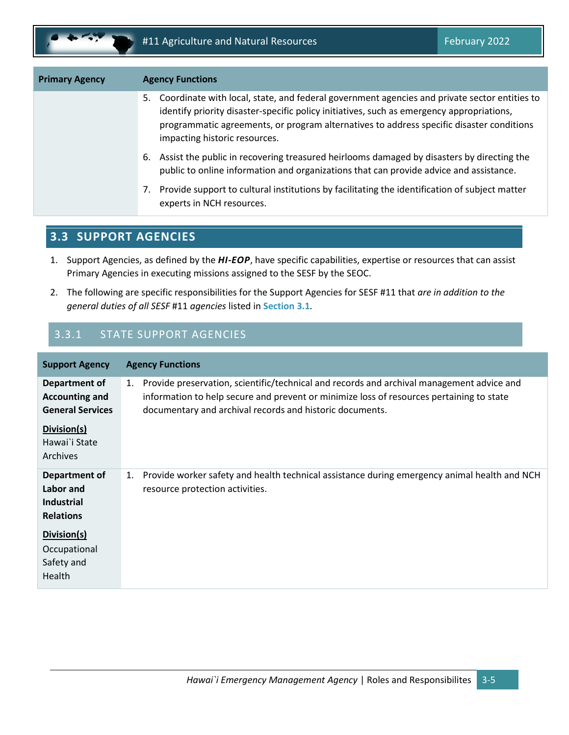

| Coordinate with local, state, and federal government agencies and private sector entities to<br>5.<br>identify priority disaster-specific policy initiatives, such as emergency appropriations,<br>programmatic agreements, or program alternatives to address specific disaster conditions<br>impacting historic resources.<br>Assist the public in recovering treasured heirlooms damaged by disasters by directing the<br>6.<br>public to online information and organizations that can provide advice and assistance. | <b>Primary Agency</b> | <b>Agency Functions</b> |
|---------------------------------------------------------------------------------------------------------------------------------------------------------------------------------------------------------------------------------------------------------------------------------------------------------------------------------------------------------------------------------------------------------------------------------------------------------------------------------------------------------------------------|-----------------------|-------------------------|
|                                                                                                                                                                                                                                                                                                                                                                                                                                                                                                                           |                       |                         |
|                                                                                                                                                                                                                                                                                                                                                                                                                                                                                                                           |                       |                         |
| Provide support to cultural institutions by facilitating the identification of subject matter<br>7.<br>experts in NCH resources.                                                                                                                                                                                                                                                                                                                                                                                          |                       |                         |

## <span id="page-12-0"></span>**3.3 SUPPORT AGENCIES**

- 1. Support Agencies, as defined by the *HI-EOP*, have specific capabilities, expertise or resources that can assist Primary Agencies in executing missions assigned to the SESF by the SEOC.
- 2. The following are specific responsibilities for the Support Agencies for SESF #11 that *are in addition to the general duties of all SESF* #11 *agencies* listed in **Sectio[n 3.1](#page-8-1)***.*

## 3.3.1 STATE SUPPORT AGENCIES

| <b>Support Agency</b>                                               | <b>Agency Functions</b>                                                                                                                                                                                                                                 |  |
|---------------------------------------------------------------------|---------------------------------------------------------------------------------------------------------------------------------------------------------------------------------------------------------------------------------------------------------|--|
| Department of<br><b>Accounting and</b><br><b>General Services</b>   | Provide preservation, scientific/technical and records and archival management advice and<br>1.<br>information to help secure and prevent or minimize loss of resources pertaining to state<br>documentary and archival records and historic documents. |  |
| Division(s)<br>Hawai`i State<br><b>Archives</b>                     |                                                                                                                                                                                                                                                         |  |
| Department of<br>Labor and<br><b>Industrial</b><br><b>Relations</b> | Provide worker safety and health technical assistance during emergency animal health and NCH<br>1.<br>resource protection activities.                                                                                                                   |  |
| Division(s)<br>Occupational<br>Safety and<br>Health                 |                                                                                                                                                                                                                                                         |  |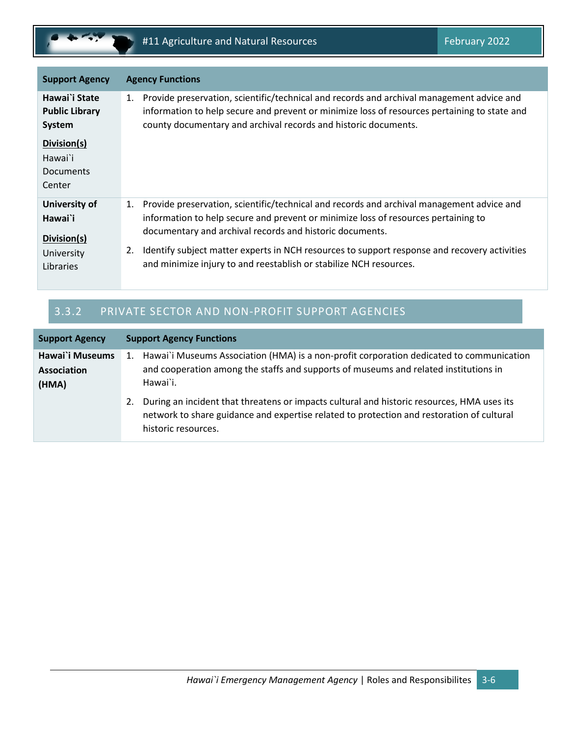

| <b>Support Agency</b>                                              |          | <b>Agency Functions</b>                                                                                                                                                                                                                                                                                                                                                                                           |
|--------------------------------------------------------------------|----------|-------------------------------------------------------------------------------------------------------------------------------------------------------------------------------------------------------------------------------------------------------------------------------------------------------------------------------------------------------------------------------------------------------------------|
| Hawai`i State<br><b>Public Library</b><br>System                   | 1.       | Provide preservation, scientific/technical and records and archival management advice and<br>information to help secure and prevent or minimize loss of resources pertaining to state and<br>county documentary and archival records and historic documents.                                                                                                                                                      |
| Division(s)<br>Hawai`i<br>Documents<br>Center                      |          |                                                                                                                                                                                                                                                                                                                                                                                                                   |
| University of<br>Hawai`i<br>Division(s)<br>University<br>Libraries | 1.<br>2. | Provide preservation, scientific/technical and records and archival management advice and<br>information to help secure and prevent or minimize loss of resources pertaining to<br>documentary and archival records and historic documents.<br>Identify subject matter experts in NCH resources to support response and recovery activities<br>and minimize injury to and reestablish or stabilize NCH resources. |

## 3.3.2 PRIVATE SECTOR AND NON-PROFIT SUPPORT AGENCIES

| <b>Support Agency</b>                   | <b>Support Agency Functions</b>                                                                                                                                                                                      |
|-----------------------------------------|----------------------------------------------------------------------------------------------------------------------------------------------------------------------------------------------------------------------|
| Hawai`i Museums<br>Association<br>(HMA) | 1. Hawai`i Museums Association (HMA) is a non-profit corporation dedicated to communication<br>and cooperation among the staffs and supports of museums and related institutions in<br>Hawai`i.                      |
|                                         | During an incident that threatens or impacts cultural and historic resources, HMA uses its<br>2.<br>network to share guidance and expertise related to protection and restoration of cultural<br>historic resources. |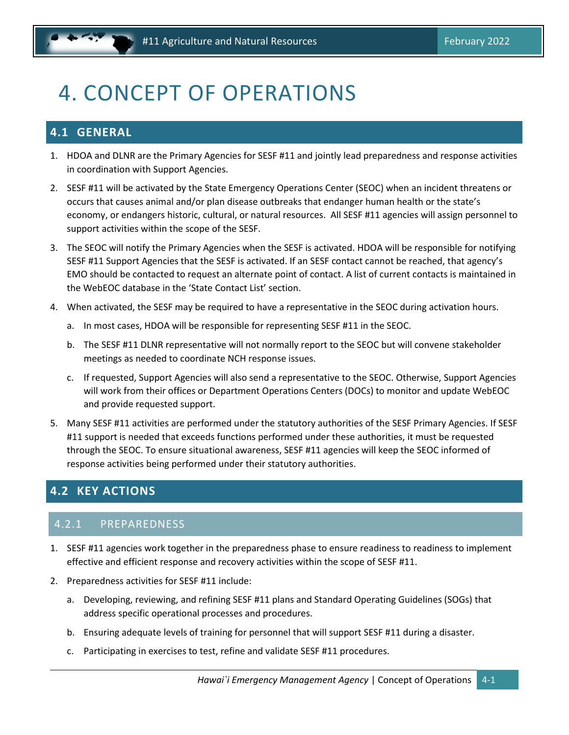## <span id="page-14-0"></span>4. CONCEPT OF OPERATIONS

## <span id="page-14-1"></span>**4.1 GENERAL**

- 1. HDOA and DLNR are the Primary Agencies for SESF #11 and jointly lead preparedness and response activities in coordination with Support Agencies.
- 2. SESF #11 will be activated by the State Emergency Operations Center (SEOC) when an incident threatens or occurs that causes animal and/or plan disease outbreaks that endanger human health or the state's economy, or endangers historic, cultural, or natural resources. All SESF #11 agencies will assign personnel to support activities within the scope of the SESF.
- 3. The SEOC will notify the Primary Agencies when the SESF is activated. HDOA will be responsible for notifying SESF #11 Support Agencies that the SESF is activated. If an SESF contact cannot be reached, that agency's EMO should be contacted to request an alternate point of contact. A list of current contacts is maintained in the WebEOC database in the 'State Contact List' section.
- 4. When activated, the SESF may be required to have a representative in the SEOC during activation hours.
	- a. In most cases, HDOA will be responsible for representing SESF #11 in the SEOC.
	- b. The SESF #11 DLNR representative will not normally report to the SEOC but will convene stakeholder meetings as needed to coordinate NCH response issues.
	- c. If requested, Support Agencies will also send a representative to the SEOC. Otherwise, Support Agencies will work from their offices or Department Operations Centers (DOCs) to monitor and update WebEOC and provide requested support.
- 5. Many SESF #11 activities are performed under the statutory authorities of the SESF Primary Agencies. If SESF #11 support is needed that exceeds functions performed under these authorities, it must be requested through the SEOC. To ensure situational awareness, SESF #11 agencies will keep the SEOC informed of response activities being performed under their statutory authorities.

## <span id="page-14-2"></span>**4.2 KEY ACTIONS**

### 4.2.1 PREPAREDNESS

- 1. SESF #11 agencies work together in the preparedness phase to ensure readiness to readiness to implement effective and efficient response and recovery activities within the scope of SESF #11.
- 2. Preparedness activities for SESF #11 include:
	- a. Developing, reviewing, and refining SESF #11 plans and Standard Operating Guidelines (SOGs) that address specific operational processes and procedures.
	- b. Ensuring adequate levels of training for personnel that will support SESF #11 during a disaster.
	- c. Participating in exercises to test, refine and validate SESF #11 procedures.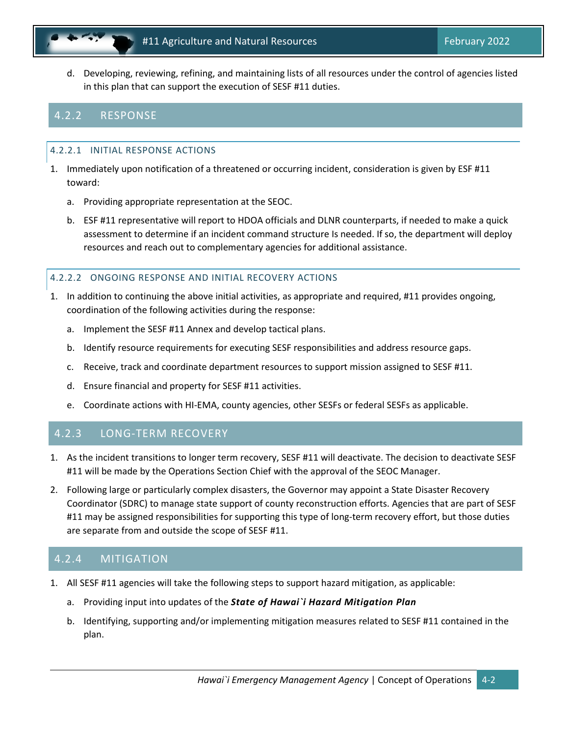d. Developing, reviewing, refining, and maintaining lists of all resources under the control of agencies listed in this plan that can support the execution of SESF #11 duties.

### 4.2.2 RESPONSE

#### 4.2.2.1 INITIAL RESPONSE ACTIONS

- 1. Immediately upon notification of a threatened or occurring incident, consideration is given by ESF #11 toward:
	- a. Providing appropriate representation at the SEOC.
	- b. ESF #11 representative will report to HDOA officials and DLNR counterparts, if needed to make a quick assessment to determine if an incident command structure Is needed. If so, the department will deploy resources and reach out to complementary agencies for additional assistance.

#### 4.2.2.2 ONGOING RESPONSE AND INITIAL RECOVERY ACTIONS

- 1. In addition to continuing the above initial activities, as appropriate and required, #11 provides ongoing, coordination of the following activities during the response:
	- a. Implement the SESF #11 Annex and develop tactical plans.
	- b. Identify resource requirements for executing SESF responsibilities and address resource gaps.
	- c. Receive, track and coordinate department resources to support mission assigned to SESF #11.
	- d. Ensure financial and property for SESF #11 activities.
	- e. Coordinate actions with HI-EMA, county agencies, other SESFs or federal SESFs as applicable.

### 4.2.3 LONG-TERM RECOVERY

- 1. As the incident transitions to longer term recovery, SESF #11 will deactivate. The decision to deactivate SESF #11 will be made by the Operations Section Chief with the approval of the SEOC Manager.
- 2. Following large or particularly complex disasters, the Governor may appoint a State Disaster Recovery Coordinator (SDRC) to manage state support of county reconstruction efforts. Agencies that are part of SESF #11 may be assigned responsibilities for supporting this type of long-term recovery effort, but those duties are separate from and outside the scope of SESF #11.

### 4.2.4 MITIGATION

- 1. All SESF #11 agencies will take the following steps to support hazard mitigation, as applicable:
	- a. Providing input into updates of the *State of Hawai`i Hazard Mitigation Plan*
	- b. Identifying, supporting and/or implementing mitigation measures related to SESF #11 contained in the plan.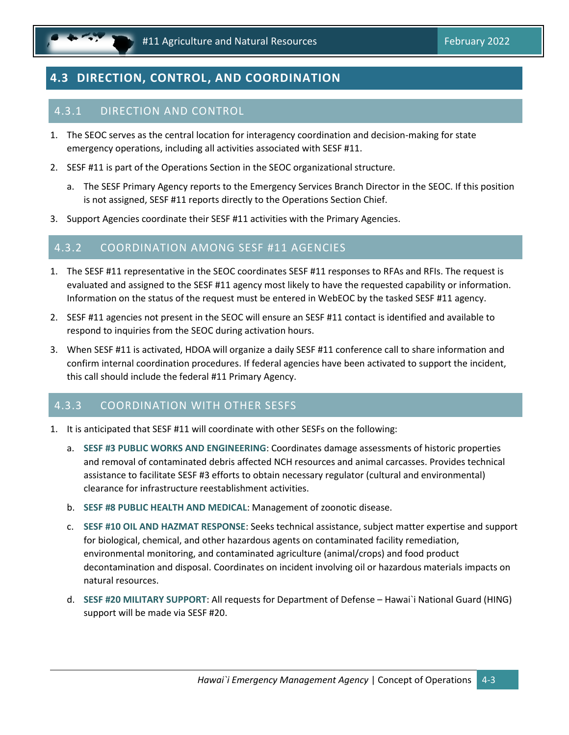

## <span id="page-16-0"></span>**4.3 DIRECTION, CONTROL, AND COORDINATION**

### 4.3.1 DIRECTION AND CONTROL

- 1. The SEOC serves as the central location for interagency coordination and decision-making for state emergency operations, including all activities associated with SESF #11.
- 2. SESF #11 is part of the Operations Section in the SEOC organizational structure.
	- a. The SESF Primary Agency reports to the Emergency Services Branch Director in the SEOC. If this position is not assigned, SESF #11 reports directly to the Operations Section Chief.
- 3. Support Agencies coordinate their SESF #11 activities with the Primary Agencies.

#### 4.3.2 COORDINATION AMONG SESF #11 AGENCIES

- 1. The SESF #11 representative in the SEOC coordinates SESF #11 responses to RFAs and RFIs. The request is evaluated and assigned to the SESF #11 agency most likely to have the requested capability or information. Information on the status of the request must be entered in WebEOC by the tasked SESF #11 agency.
- 2. SESF #11 agencies not present in the SEOC will ensure an SESF #11 contact is identified and available to respond to inquiries from the SEOC during activation hours.
- 3. When SESF #11 is activated, HDOA will organize a daily SESF #11 conference call to share information and confirm internal coordination procedures. If federal agencies have been activated to support the incident, this call should include the federal #11 Primary Agency.

#### 4.3.3 COORDINATION WITH OTHER SESFS

- 1. It is anticipated that SESF #11 will coordinate with other SESFs on the following:
	- a. **SESF #3 PUBLIC WORKS AND ENGINEERING**: Coordinates damage assessments of historic properties and removal of contaminated debris affected NCH resources and animal carcasses. Provides technical assistance to facilitate SESF #3 efforts to obtain necessary regulator (cultural and environmental) clearance for infrastructure reestablishment activities.
	- b. **SESF #8 PUBLIC HEALTH AND MEDICAL**: Management of zoonotic disease.
	- c. **SESF #10 OIL AND HAZMAT RESPONSE**: Seeks technical assistance, subject matter expertise and support for biological, chemical, and other hazardous agents on contaminated facility remediation, environmental monitoring, and contaminated agriculture (animal/crops) and food product decontamination and disposal. Coordinates on incident involving oil or hazardous materials impacts on natural resources.
	- d. **SESF #20 MILITARY SUPPORT**: All requests for Department of Defense Hawai`i National Guard (HING) support will be made via SESF #20.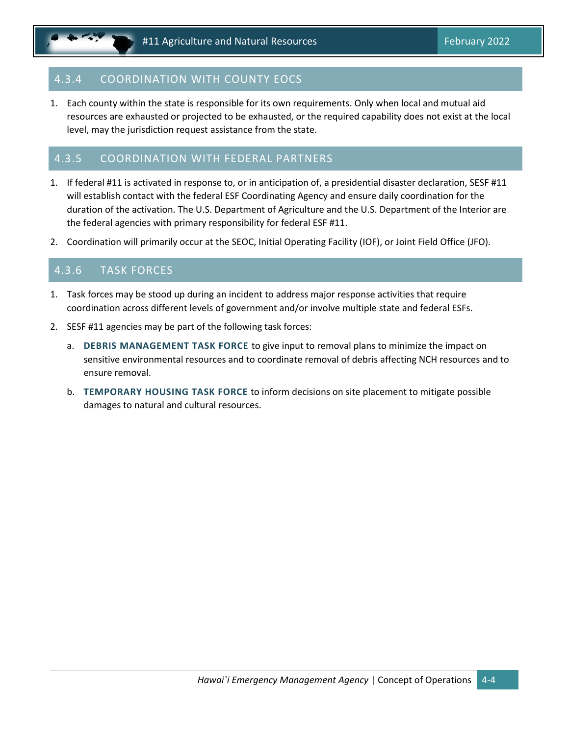## 4.3.4 COORDINATION WITH COUNTY EOCS

1. Each county within the state is responsible for its own requirements. Only when local and mutual aid resources are exhausted or projected to be exhausted, or the required capability does not exist at the local level, may the jurisdiction request assistance from the state.

#### 4.3.5 COORDINATION WITH FEDERAL PARTNERS

- 1. If federal #11 is activated in response to, or in anticipation of, a presidential disaster declaration, SESF #11 will establish contact with the federal ESF Coordinating Agency and ensure daily coordination for the duration of the activation. The U.S. Department of Agriculture and the U.S. Department of the Interior are the federal agencies with primary responsibility for federal ESF #11.
- 2. Coordination will primarily occur at the SEOC, Initial Operating Facility (IOF), or Joint Field Office (JFO).

### 4.3.6 TASK FORCES

- 1. Task forces may be stood up during an incident to address major response activities that require coordination across different levels of government and/or involve multiple state and federal ESFs.
- 2. SESF #11 agencies may be part of the following task forces:
	- a. **DEBRIS MANAGEMENT TASK FORCE** to give input to removal plans to minimize the impact on sensitive environmental resources and to coordinate removal of debris affecting NCH resources and to ensure removal.
	- b. **TEMPORARY HOUSING TASK FORCE** to inform decisions on site placement to mitigate possible damages to natural and cultural resources.